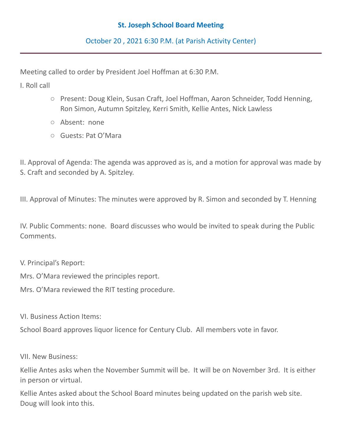## **St. Joseph School Board Meeting**

October 20 , 2021 6:30 P.M. (at Parish Activity Center)

Meeting called to order by President Joel Hoffman at 6:30 P.M.

I. Roll call

- Present: Doug Klein, Susan Craft, Joel Hoffman, Aaron Schneider, Todd Henning, Ron Simon, Autumn Spitzley, Kerri Smith, Kellie Antes, Nick Lawless
- Absent: none
- Guests: Pat O'Mara

II. Approval of Agenda: The agenda was approved as is, and a motion for approval was made by S. Craft and seconded by A. Spitzley.

III. Approval of Minutes: The minutes were approved by R. Simon and seconded by T. Henning

IV. Public Comments: none. Board discusses who would be invited to speak during the Public Comments.

V. Principal's Report:

Mrs. O'Mara reviewed the principles report.

Mrs. O'Mara reviewed the RIT testing procedure.

VI. Business Action Items:

School Board approves liquor licence for Century Club. All members vote in favor.

VII. New Business:

Kellie Antes asks when the November Summit will be. It will be on November 3rd. It is either in person or virtual.

Kellie Antes asked about the School Board minutes being updated on the parish web site. Doug will look into this.